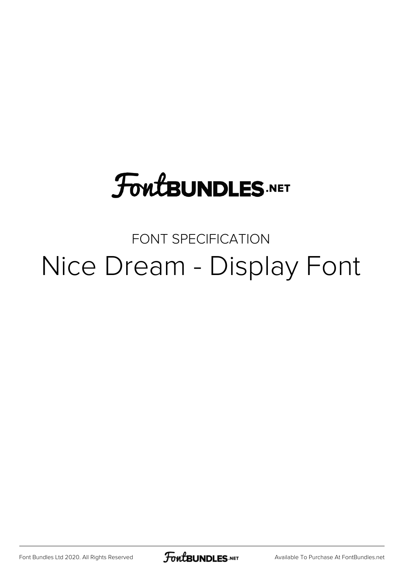# **FoutBUNDLES.NET**

### FONT SPECIFICATION Nice Dream - Display Font

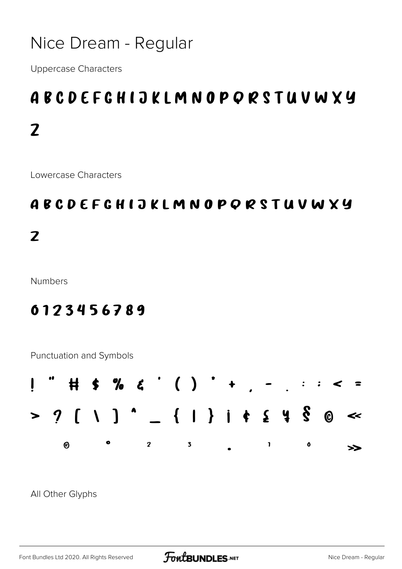### Nice Dream - Regular

**Uppercase Characters** 

## **ABCDEFGHIJKLMNOPORSTUVWXY**  $\overline{2}$

Lowercase Characters

### **ABCDEFGHIJKLMNOPORSTUVWXY**

 $\overline{z}$ 

**Numbers** 

#### 0123456789





All Other Glyphs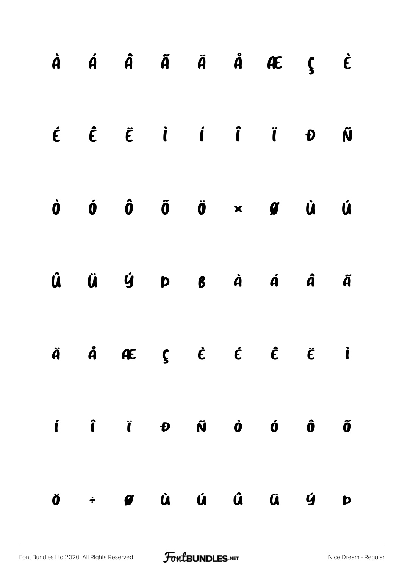|  |  |  | $\dot{A}$ $\dot{A}$ $\ddot{A}$ $\ddot{A}$ $\ddot{A}$ $\ddot{A}$ $\ddot{C}$ $\ddot{C}$                                                                                                                                                                                                                                                |   |
|--|--|--|--------------------------------------------------------------------------------------------------------------------------------------------------------------------------------------------------------------------------------------------------------------------------------------------------------------------------------------|---|
|  |  |  | $\label{eq:2} \begin{array}{cccccccccccccc} \acute{c} & \hat{c} & \hat{c} & \acute{c} & \acute{d} & \acute{d} & \acute{d} & \acute{d} & \acute{d} & \acute{d} & \acute{d} & \acute{d} & \acute{d} & \acute{d} & \acute{d} & \acute{d} & \acute{d} & \end{array}$                                                                     |   |
|  |  |  | $\dot{0}$ $\dot{0}$ $\ddot{0}$ $\ddot{0}$ $\times$ $\dot{g}$ $\dot{u}$ $\dot{u}$                                                                                                                                                                                                                                                     |   |
|  |  |  | $\hat{u}$ $\ddot{u}$ $\dot{y}$ $p$ $g$ $\dot{a}$ $\dot{a}$ $\ddot{a}$ $\ddot{a}$                                                                                                                                                                                                                                                     |   |
|  |  |  | $\ddot{A}$ $\ddot{A}$ $\bf{A}$ $\bf{E}$ $\bf{\dot{\xi}}$ $\dot{\bf{\dot{\xi}}}$ $\bf{\dot{\xi}}$ $\bf{\dot{\xi}}$ $\bf{\dot{\xi}}$ $\bf{\dot{\xi}}$                                                                                                                                                                                  |   |
|  |  |  | $\mathbf{i}$ $\mathbf{j}$ $\mathbf{k}$ $\mathbf{j}$ $\mathbf{r}$ $\mathbf{r}$ $\mathbf{r}$ $\mathbf{r}$ $\mathbf{r}$ $\mathbf{r}$ $\mathbf{r}$ $\mathbf{r}$ $\mathbf{r}$ $\mathbf{r}$ $\mathbf{r}$ $\mathbf{r}$ $\mathbf{r}$ $\mathbf{r}$ $\mathbf{r}$ $\mathbf{r}$ $\mathbf{r}$ $\mathbf{r}$ $\mathbf{r}$ $\mathbf{r}$ $\mathbf{r}$ |   |
|  |  |  | Ö ÷ Ø Ù Ú Û Ü Ÿ                                                                                                                                                                                                                                                                                                                      | Þ |